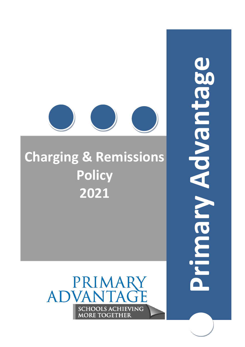# Advantage **Primary Advantage**Nicoul



# **Charging & Remissions Policy 2021**

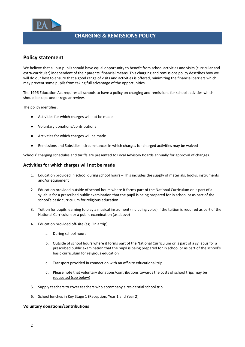

# **CHARGING & REMISSIONS POLICY**

# **Policy statement**

We believe that all our pupils should have equal opportunity to benefit from school activities and visits (curricular and extra-curricular) independent of their parents' financial means. This charging and remissions policy describes how we will do our best to ensure that a good range of visits and activities is offered, minimizing the financial barriers which may prevent some pupils from taking full advantage of the opportunities.

The 1996 Education Act requires all schools to have a policy on charging and remissions for school activities which should be kept under regular review.

The policy identifies:

- Activities for which charges will not be made
- Voluntary donations/contributions
- Activities for which charges will be made
- Remissions and Subsidies circumstances in which charges for charged activities may be waived

Schools' charging schedules and tariffs are presented to Local Advisory Boards annually for approval of changes.

### **Activities for which charges will not be made**

- 1. Education provided in school during school hours This includes the supply of materials, books, instruments and/or equipment
- 2. Education provided outside of school hours where it forms part of the National Curriculum or is part of a syllabus for a prescribed public examination that the pupil is being prepared for in school or as part of the school's basic curriculum for religious education
- 3. Tuition for pupils learning to play a musical instrument (including voice) if the tuition is required as part of the National Curriculum or a public examination (as above)
- 4. Education provided off-site (eg. On a trip)
	- a. During school hours
	- b. Outside of school hours where it forms part of the National Curriculum or is part of a syllabus for a prescribed public examination that the pupil is being prepared for in school or as part of the school's basic curriculum for religious education
	- c. Transport provided in connection with an off-site educational trip
	- d. Please note that voluntary donations/contributions towards the costs of school trips may be requested (see below)
- 5. Supply teachers to cover teachers who accompany a residential school trip
- 6. School lunches in Key Stage 1 (Reception, Year 1 and Year 2)

### **Voluntary donations/contributions**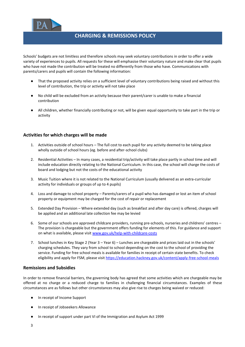

## **CHARGING & REMISSIONS POLICY**

Schools' budgets are not limitless and therefore schools may seek voluntary contributions in order to offer a wide variety of experiences to pupils. All requests for these will emphasise their voluntary nature and make clear that pupils who have not made the contribution will be treated no differently from those who have. Communications with parents/carers and pupils will contain the following information:

- That the proposed activity relies on a sufficient level of voluntary contributions being raised and without this level of contribution, the trip or activity will not take place
- No child will be excluded from an activity because their parent/carer is unable to make a financial contribution
- All children, whether financially contributing or not, will be given equal opportunity to take part in the trip or activity

### **Activities for which charges will be made**

- 1. Activities outside of school hours The full cost to each pupil for any activity deemed to be taking place wholly outside of school hours (eg. before and after-school clubs)
- 2. Residential Activities In many cases, a residential trip/activity will take place partly in school time and will include education directly relating to the National Curriculum. In this case, the school will charge the costs of board and lodging but not the costs of the educational activity
- 3. Music Tuition where it is not related to the National Curriculum (usually delivered as an extra-curricular activity for individuals or groups of up to 4 pupils)
- 4. Loss and damage to school property Parents/carers of a pupil who has damaged or lost an item of school property or equipment may be charged for the cost of repair or replacement
- 5. Extended Day Provision Where extended day (such as breakfast and after day care) is offered, charges will be applied and an additional late collection fee may be levied
- 6. Some of our schools are approved childcare providers, running pre-schools, nurseries and childrens' centres The provision is chargeable but the government offers funding for elements of this. For guidance and support on what is available, please visi[t www.gov.uk/help-with-childcare-costs](http://www.gov.uk/help-with-childcare-costs)
- 7. School lunches in Key Stage 2 (Year 3 Year 6) Lunches are chargeable and prices laid out in the schools' charging schedules. They vary from school to school depending on the cost to the school of providing the service. Funding for free school meals is available for families in receipt of certain state benefits. To check eligibility and apply for FSM, please visit<https://education.hackney.gov.uk/content/apply-free-school-meals>

### **Remissions and Subsidies**

In order to remove financial barriers, the governing body has agreed that some activities which are chargeable may be offered at no charge or a reduced charge to families in challenging financial circumstances. Examples of these circumstances are as follows but other circumstances may also give rise to charges being waived or reduced:

- In receipt of Income Support
- In receipt of Jobseekers Allowance
- In receipt of support under part VI of the Immigration and Asylum Act 1999